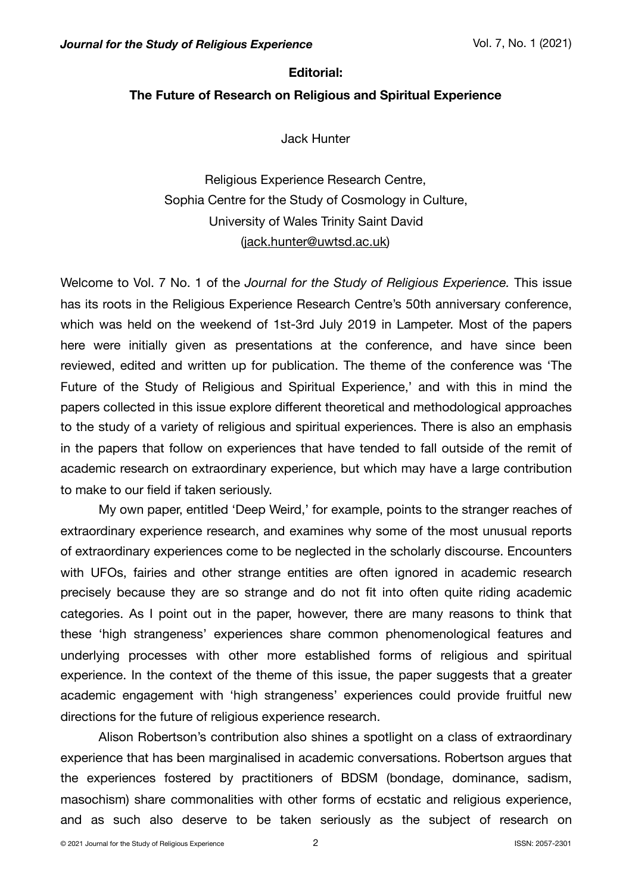### **Editorial:**

# **The Future of Research on Religious and Spiritual Experience**

Jack Hunter

Religious Experience Research Centre, Sophia Centre for the Study of Cosmology in Culture, University of Wales Trinity Saint David ([jack.hunter@uwtsd.ac.uk\)](mailto:jack.hunter@uwtsd.ac.uk)

Welcome to Vol. 7 No. 1 of the *Journal for the Study of Religious Experience.* This issue has its roots in the Religious Experience Research Centre's 50th anniversary conference, which was held on the weekend of 1st-3rd July 2019 in Lampeter. Most of the papers here were initially given as presentations at the conference, and have since been reviewed, edited and written up for publication. The theme of the conference was 'The Future of the Study of Religious and Spiritual Experience,' and with this in mind the papers collected in this issue explore different theoretical and methodological approaches to the study of a variety of religious and spiritual experiences. There is also an emphasis in the papers that follow on experiences that have tended to fall outside of the remit of academic research on extraordinary experience, but which may have a large contribution to make to our field if taken seriously.

My own paper, entitled 'Deep Weird,' for example, points to the stranger reaches of extraordinary experience research, and examines why some of the most unusual reports of extraordinary experiences come to be neglected in the scholarly discourse. Encounters with UFOs, fairies and other strange entities are often ignored in academic research precisely because they are so strange and do not fit into often quite riding academic categories. As I point out in the paper, however, there are many reasons to think that these 'high strangeness' experiences share common phenomenological features and underlying processes with other more established forms of religious and spiritual experience. In the context of the theme of this issue, the paper suggests that a greater academic engagement with 'high strangeness' experiences could provide fruitful new directions for the future of religious experience research.

Alison Robertson's contribution also shines a spotlight on a class of extraordinary experience that has been marginalised in academic conversations. Robertson argues that the experiences fostered by practitioners of BDSM (bondage, dominance, sadism, masochism) share commonalities with other forms of ecstatic and religious experience, and as such also deserve to be taken seriously as the subject of research on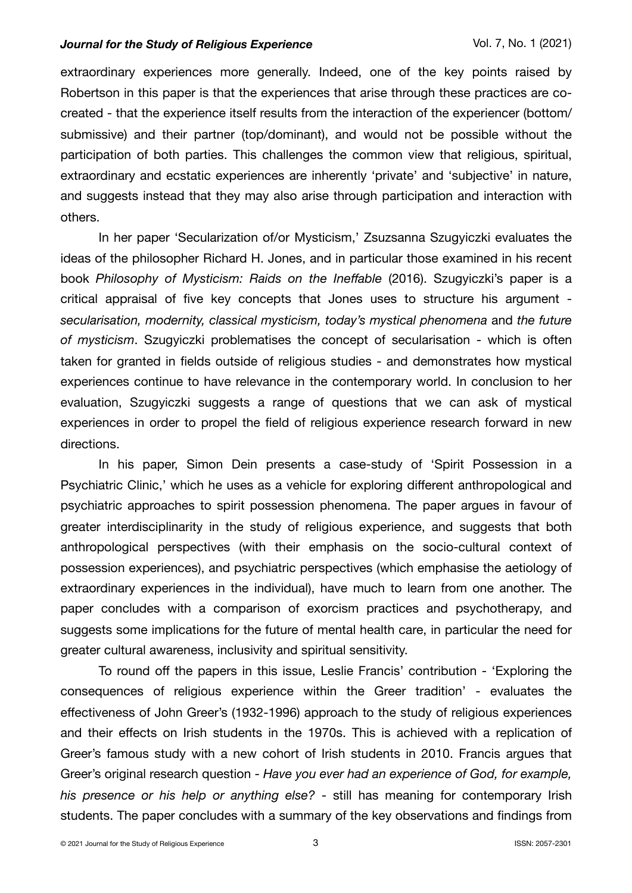### *Journal for the Study of Religious Experience* Vol. 7, No. 1 (2021)

extraordinary experiences more generally. Indeed, one of the key points raised by Robertson in this paper is that the experiences that arise through these practices are cocreated - that the experience itself results from the interaction of the experiencer (bottom/ submissive) and their partner (top/dominant), and would not be possible without the participation of both parties. This challenges the common view that religious, spiritual, extraordinary and ecstatic experiences are inherently 'private' and 'subjective' in nature, and suggests instead that they may also arise through participation and interaction with others.

In her paper 'Secularization of/or Mysticism,' Zsuzsanna Szugyiczki evaluates the ideas of the philosopher Richard H. Jones, and in particular those examined in his recent book *Philosophy of Mysticism: Raids on the Ineffable* (2016). Szugyiczki's paper is a critical appraisal of five key concepts that Jones uses to structure his argument *secularisation, modernity, classical mysticism, today's mystical phenomena* and *the future of mysticism*. Szugyiczki problematises the concept of secularisation - which is often taken for granted in fields outside of religious studies - and demonstrates how mystical experiences continue to have relevance in the contemporary world. In conclusion to her evaluation, Szugyiczki suggests a range of questions that we can ask of mystical experiences in order to propel the field of religious experience research forward in new directions.

In his paper, Simon Dein presents a case-study of 'Spirit Possession in a Psychiatric Clinic,' which he uses as a vehicle for exploring different anthropological and psychiatric approaches to spirit possession phenomena. The paper argues in favour of greater interdisciplinarity in the study of religious experience, and suggests that both anthropological perspectives (with their emphasis on the socio-cultural context of possession experiences), and psychiatric perspectives (which emphasise the aetiology of extraordinary experiences in the individual), have much to learn from one another. The paper concludes with a comparison of exorcism practices and psychotherapy, and suggests some implications for the future of mental health care, in particular the need for greater cultural awareness, inclusivity and spiritual sensitivity.

To round off the papers in this issue, Leslie Francis' contribution - 'Exploring the consequences of religious experience within the Greer tradition' - evaluates the effectiveness of John Greer's (1932-1996) approach to the study of religious experiences and their effects on Irish students in the 1970s. This is achieved with a replication of Greer's famous study with a new cohort of Irish students in 2010. Francis argues that Greer's original research question - *Have you ever had an experience of God, for example, his presence or his help or anything else?* - still has meaning for contemporary Irish students. The paper concludes with a summary of the key observations and findings from